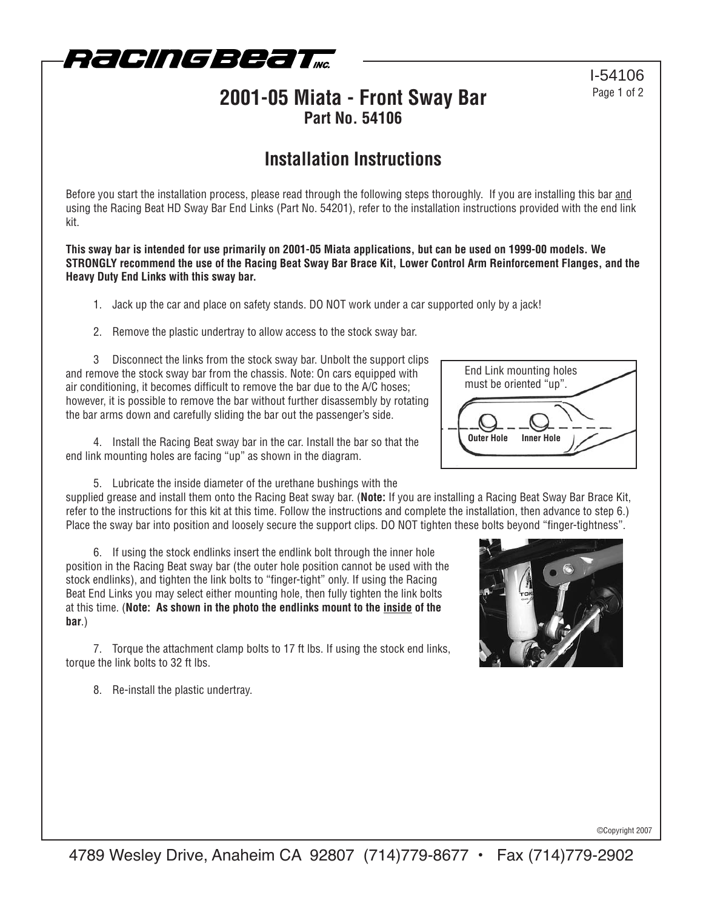

### **2001-05 Miata - Front Sway Bar Part No. 54106**

## **Installation Instructions**

Before you start the installation process, please read through the following steps thoroughly. If you are installing this bar and using the Racing Beat HD Sway Bar End Links (Part No. 54201), refer to the installation instructions provided with the end link kit.

**This sway bar is intended for use primarily on 2001-05 Miata applications, but can be used on 1999-00 models. We STRONGLY recommend the use of the Racing Beat Sway Bar Brace Kit, Lower Control Arm Reinforcement Flanges, and the Heavy Duty End Links with this sway bar.**

- 1. Jack up the car and place on safety stands. DO NOT work under a car supported only by a jack!
- 2. Remove the plastic undertray to allow access to the stock sway bar.

3 Disconnect the links from the stock sway bar. Unbolt the support clips and remove the stock sway bar from the chassis. Note: On cars equipped with air conditioning, it becomes difficult to remove the bar due to the A/C hoses; however, it is possible to remove the bar without further disassembly by rotating the bar arms down and carefully sliding the bar out the passenger's side.

4. Install the Racing Beat sway bar in the car. Install the bar so that the end link mounting holes are facing "up" as shown in the diagram.

5. Lubricate the inside diameter of the urethane bushings with the

supplied grease and install them onto the Racing Beat sway bar. (**Note:** If you are installing a Racing Beat Sway Bar Brace Kit, refer to the instructions for this kit at this time. Follow the instructions and complete the installation, then advance to step 6.) Place the sway bar into position and loosely secure the support clips. DO NOT tighten these bolts beyond "finger-tightness".

6. If using the stock endlinks insert the endlink bolt through the inner hole position in the Racing Beat sway bar (the outer hole position cannot be used with the stock endlinks), and tighten the link bolts to "finger-tight" only. If using the Racing Beat End Links you may select either mounting hole, then fully tighten the link bolts at this time. (**Note: As shown in the photo the endlinks mount to the inside of the bar**.)

7. Torque the attachment clamp bolts to 17 ft lbs. If using the stock end links, torque the link bolts to 32 ft lbs.

8. Re-install the plastic undertray.



End Link mounting holes must be oriented "up".



©Copyright 2007